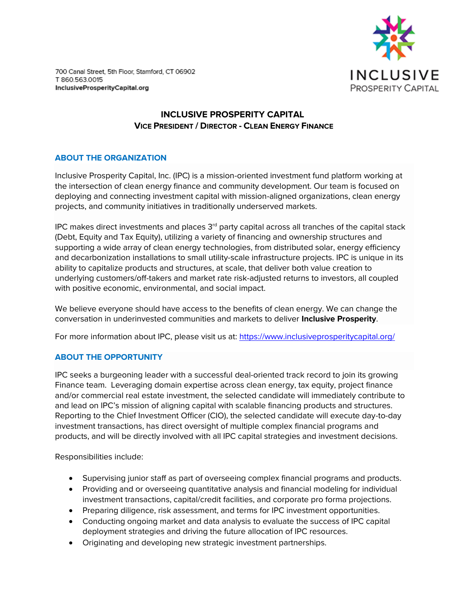

700 Canal Street, 5th Floor, Stamford, CT 06902 T 860.563.0015 InclusiveProsperityCapital.org

# **INCLUSIVE PROSPERITY CAPITAL VICE PRESIDENT / DIRECTOR - CLEAN ENERGY FINANCE**

## **ABOUT THE ORGANIZATION**

Inclusive Prosperity Capital, Inc. (IPC) is a mission-oriented investment fund platform working at the intersection of clean energy finance and community development. Our team is focused on deploying and connecting investment capital with mission-aligned organizations, clean energy projects, and community initiatives in traditionally underserved markets.

IPC makes direct investments and places 3<sup>rd</sup> party capital across all tranches of the capital stack (Debt, Equity and Tax Equity), utilizing a variety of financing and ownership structures and supporting a wide array of clean energy technologies, from distributed solar, energy efficiency and decarbonization installations to small utility-scale infrastructure projects. IPC is unique in its ability to capitalize products and structures, at scale, that deliver both value creation to underlying customers/off-takers and market rate risk-adjusted returns to investors, all coupled with positive economic, environmental, and social impact.

We believe everyone should have access to the benefits of clean energy. We can change the conversation in underinvested communities and markets to deliver **Inclusive Prosperity**.

For more information about IPC, please visit us at: https://www.inclusiveprosperitycapital.org/

## **ABOUT THE OPPORTUNITY**

IPC seeks a burgeoning leader with a successful deal-oriented track record to join its growing Finance team. Leveraging domain expertise across clean energy, tax equity, project finance and/or commercial real estate investment, the selected candidate will immediately contribute to and lead on IPC's mission of aligning capital with scalable financing products and structures. Reporting to the Chief Investment Officer (CIO), the selected candidate will execute day-to-day investment transactions, has direct oversight of multiple complex financial programs and products, and will be directly involved with all IPC capital strategies and investment decisions.

Responsibilities include:

- Supervising junior staff as part of overseeing complex financial programs and products.
- Providing and or overseeing quantitative analysis and financial modeling for individual investment transactions, capital/credit facilities, and corporate pro forma projections.
- Preparing diligence, risk assessment, and terms for IPC investment opportunities.
- Conducting ongoing market and data analysis to evaluate the success of IPC capital deployment strategies and driving the future allocation of IPC resources.
- Originating and developing new strategic investment partnerships.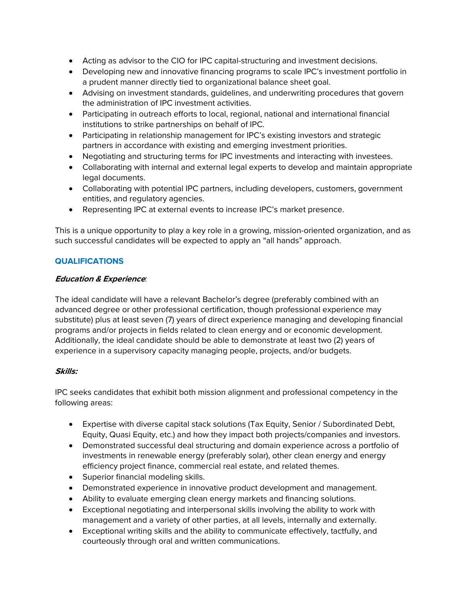- Acting as advisor to the CIO for IPC capital-structuring and investment decisions.
- Developing new and innovative financing programs to scale IPC's investment portfolio in a prudent manner directly tied to organizational balance sheet goal.
- Advising on investment standards, guidelines, and underwriting procedures that govern the administration of IPC investment activities.
- Participating in outreach efforts to local, regional, national and international financial institutions to strike partnerships on behalf of IPC.
- Participating in relationship management for IPC's existing investors and strategic partners in accordance with existing and emerging investment priorities.
- Negotiating and structuring terms for IPC investments and interacting with investees.
- Collaborating with internal and external legal experts to develop and maintain appropriate legal documents.
- Collaborating with potential IPC partners, including developers, customers, government entities, and regulatory agencies.
- Representing IPC at external events to increase IPC's market presence.

This is a unique opportunity to play a key role in a growing, mission-oriented organization, and as such successful candidates will be expected to apply an "all hands" approach.

## **QUALIFICATIONS**

## **Education & Experience***:*

The ideal candidate will have a relevant Bachelor's degree (preferably combined with an advanced degree or other professional certification, though professional experience may substitute) plus at least seven (7) years of direct experience managing and developing financial programs and/or projects in fields related to clean energy and or economic development. Additionally, the ideal candidate should be able to demonstrate at least two (2) years of experience in a supervisory capacity managing people, projects, and/or budgets.

## **Skills:**

IPC seeks candidates that exhibit both mission alignment and professional competency in the following areas:

- Expertise with diverse capital stack solutions (Tax Equity, Senior / Subordinated Debt, Equity, Quasi Equity, etc.) and how they impact both projects/companies and investors.
- Demonstrated successful deal structuring and domain experience across a portfolio of investments in renewable energy (preferably solar), other clean energy and energy efficiency project finance, commercial real estate, and related themes.
- Superior financial modeling skills.
- Demonstrated experience in innovative product development and management.
- Ability to evaluate emerging clean energy markets and financing solutions.
- Exceptional negotiating and interpersonal skills involving the ability to work with management and a variety of other parties, at all levels, internally and externally.
- Exceptional writing skills and the ability to communicate effectively, tactfully, and courteously through oral and written communications.